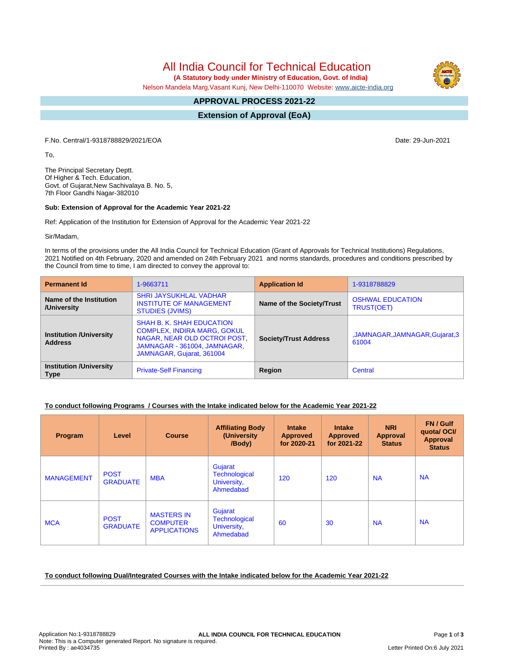# All India Council for Technical Education

 **(A Statutory body under Ministry of Education, Govt. of India)**

Nelson Mandela Marg,Vasant Kunj, New Delhi-110070 Website: [www.aicte-india.org](http://www.aicte-india.org)

#### **APPROVAL PROCESS 2021-22 -**

**Extension of Approval (EoA)**

F.No. Central/1-9318788829/2021/EOA Date: 29-Jun-2021

To,

The Principal Secretary Deptt. Of Higher & Tech. Education, Govt. of Gujarat,New Sachivalaya B. No. 5, 7th Floor Gandhi Nagar-382010

#### **Sub: Extension of Approval for the Academic Year 2021-22**

Ref: Application of the Institution for Extension of Approval for the Academic Year 2021-22

Sir/Madam,

In terms of the provisions under the All India Council for Technical Education (Grant of Approvals for Technical Institutions) Regulations, 2021 Notified on 4th February, 2020 and amended on 24th February 2021 and norms standards, procedures and conditions prescribed by the Council from time to time, I am directed to convey the approval to:

| <b>Permanent Id</b>                              | 1-9663711                                                                                                                                                    | <b>Application Id</b>        | 1-9318788829                          |  |
|--------------------------------------------------|--------------------------------------------------------------------------------------------------------------------------------------------------------------|------------------------------|---------------------------------------|--|
| Name of the Institution<br>/University           | <b>SHRI JAYSUKHLAL VADHAR</b><br><b>INSTITUTE OF MANAGEMENT</b><br><b>STUDIES (JVIMS)</b>                                                                    | Name of the Society/Trust    | <b>OSHWAL EDUCATION</b><br>TRUST(OET) |  |
| <b>Institution /University</b><br><b>Address</b> | SHAH B. K. SHAH EDUCATION<br><b>COMPLEX, INDIRA MARG, GOKUL</b><br>NAGAR, NEAR OLD OCTROI POST,<br>JAMNAGAR - 361004, JAMNAGAR,<br>JAMNAGAR, Gujarat, 361004 | <b>Society/Trust Address</b> | ,JAMNAGAR,JAMNAGAR,Gujarat,3<br>61004 |  |
| <b>Institution /University</b><br><b>Type</b>    | <b>Private-Self Financing</b>                                                                                                                                | Region                       | Central                               |  |

## **To conduct following Programs / Courses with the Intake indicated below for the Academic Year 2021-22**

| Program           | Level                          | <b>Course</b>                                               | <b>Affiliating Body</b><br>(University)<br>/Body)           | <b>Intake</b><br><b>Approved</b><br>for 2020-21 | <b>Intake</b><br><b>Approved</b><br>for 2021-22 | <b>NRI</b><br><b>Approval</b><br><b>Status</b> | FN / Gulf<br>quotal OCI/<br><b>Approval</b><br><b>Status</b> |
|-------------------|--------------------------------|-------------------------------------------------------------|-------------------------------------------------------------|-------------------------------------------------|-------------------------------------------------|------------------------------------------------|--------------------------------------------------------------|
| <b>MANAGEMENT</b> | <b>POST</b><br><b>GRADUATE</b> | <b>MBA</b>                                                  | Gujarat<br><b>Technological</b><br>University,<br>Ahmedabad | 120                                             | 120                                             | <b>NA</b>                                      | <b>NA</b>                                                    |
| <b>MCA</b>        | <b>POST</b><br><b>GRADUATE</b> | <b>MASTERS IN</b><br><b>COMPUTER</b><br><b>APPLICATIONS</b> | Gujarat<br><b>Technological</b><br>University,<br>Ahmedabad | 60                                              | 30                                              | <b>NA</b>                                      | <b>NA</b>                                                    |

**To conduct following Dual/Integrated Courses with the Intake indicated below for the Academic Year 2021-22**

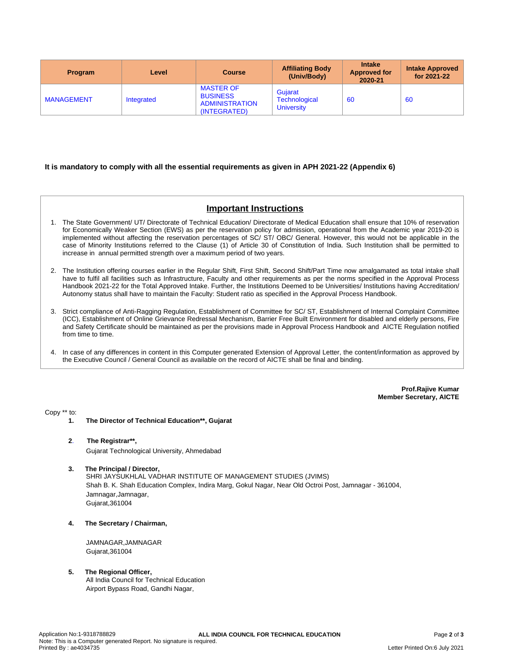| Program           | Level      | <b>Course</b>                                                                | <b>Affiliating Body</b><br>(Univ/Body)        | <b>Intake</b><br><b>Approved for</b><br>2020-21 | <b>Intake Approved</b><br>for 2021-22 |
|-------------------|------------|------------------------------------------------------------------------------|-----------------------------------------------|-------------------------------------------------|---------------------------------------|
| <b>MANAGEMENT</b> | Integrated | <b>MASTER OF</b><br><b>BUSINESS</b><br><b>ADMINISTRATION</b><br>(INTEGRATED) | Gujarat<br>Technological<br><b>University</b> | 60                                              | 60                                    |

## **It is mandatory to comply with all the essential requirements as given in APH 2021-22 (Appendix 6)**

# **Important Instructions**

- 1. The State Government/ UT/ Directorate of Technical Education/ Directorate of Medical Education shall ensure that 10% of reservation for Economically Weaker Section (EWS) as per the reservation policy for admission, operational from the Academic year 2019-20 is implemented without affecting the reservation percentages of SC/ ST/ OBC/ General. However, this would not be applicable in the case of Minority Institutions referred to the Clause (1) of Article 30 of Constitution of India. Such Institution shall be permitted to increase in annual permitted strength over a maximum period of two years.
- 2. The Institution offering courses earlier in the Regular Shift, First Shift, Second Shift/Part Time now amalgamated as total intake shall have to fulfil all facilities such as Infrastructure, Faculty and other requirements as per the norms specified in the Approval Process Handbook 2021-22 for the Total Approved Intake. Further, the Institutions Deemed to be Universities/ Institutions having Accreditation/ Autonomy status shall have to maintain the Faculty: Student ratio as specified in the Approval Process Handbook.
- 3. Strict compliance of Anti-Ragging Regulation, Establishment of Committee for SC/ ST, Establishment of Internal Complaint Committee (ICC), Establishment of Online Grievance Redressal Mechanism, Barrier Free Built Environment for disabled and elderly persons, Fire and Safety Certificate should be maintained as per the provisions made in Approval Process Handbook and AICTE Regulation notified from time to time.
- 4. In case of any differences in content in this Computer generated Extension of Approval Letter, the content/information as approved by the Executive Council / General Council as available on the record of AICTE shall be final and binding.

**Prof.Rajive Kumar Member Secretary, AICTE**

Copy \*\* to:

- **1. The Director of Technical Education\*\*, Gujarat**
- **2**. **The Registrar\*\*,**

Gujarat Technological University, Ahmedabad

**3. The Principal / Director,**

SHRI JAYSUKHLAL VADHAR INSTITUTE OF MANAGEMENT STUDIES (JVIMS) Shah B. K. Shah Education Complex, Indira Marg, Gokul Nagar, Near Old Octroi Post, Jamnagar - 361004, Jamnagar,Jamnagar, Gujarat,361004

**4. The Secretary / Chairman,**

JAMNAGAR,JAMNAGAR Gujarat,361004

#### **5. The Regional Officer,**

All India Council for Technical Education Airport Bypass Road, Gandhi Nagar,